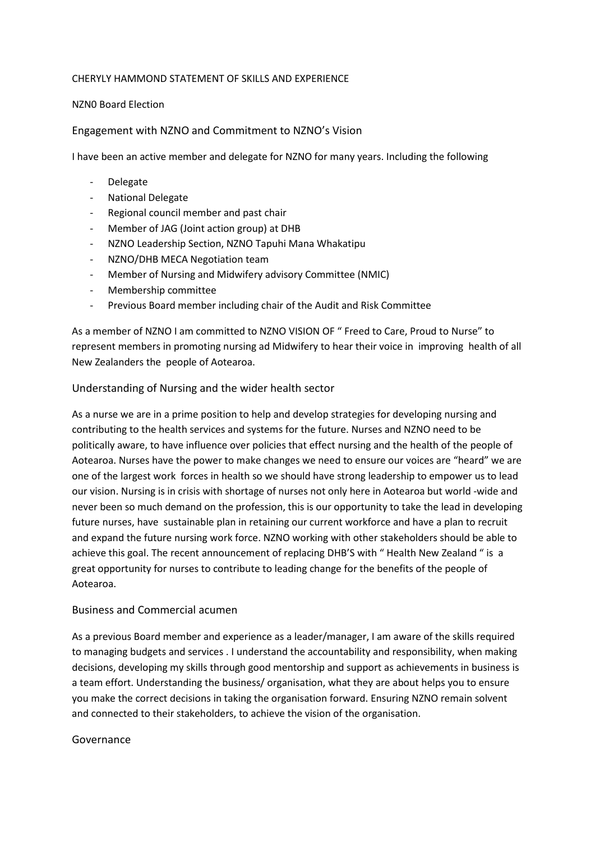### CHERYLY HAMMOND STATEMENT OF SKILLS AND EXPERIENCE

### NZN0 Board Election

# Engagement with NZNO and Commitment to NZNO's Vision

I have been an active member and delegate for NZNO for many years. Including the following

- **Delegate**
- National Delegate
- Regional council member and past chair
- Member of JAG (Joint action group) at DHB
- NZNO Leadership Section, NZNO Tapuhi Mana Whakatipu
- NZNO/DHB MECA Negotiation team
- Member of Nursing and Midwifery advisory Committee (NMIC)
- Membership committee
- Previous Board member including chair of the Audit and Risk Committee

As a member of NZNO I am committed to NZNO VISION OF " Freed to Care, Proud to Nurse" to represent members in promoting nursing ad Midwifery to hear their voice in improving health of all New Zealanders the people of Aotearoa.

## Understanding of Nursing and the wider health sector

As a nurse we are in a prime position to help and develop strategies for developing nursing and contributing to the health services and systems for the future. Nurses and NZNO need to be politically aware, to have influence over policies that effect nursing and the health of the people of Aotearoa. Nurses have the power to make changes we need to ensure our voices are "heard" we are one of the largest work forces in health so we should have strong leadership to empower us to lead our vision. Nursing is in crisis with shortage of nurses not only here in Aotearoa but world -wide and never been so much demand on the profession, this is our opportunity to take the lead in developing future nurses, have sustainable plan in retaining our current workforce and have a plan to recruit and expand the future nursing work force. NZNO working with other stakeholders should be able to achieve this goal. The recent announcement of replacing DHB'S with " Health New Zealand " is a great opportunity for nurses to contribute to leading change for the benefits of the people of Aotearoa.

### Business and Commercial acumen

As a previous Board member and experience as a leader/manager, I am aware of the skills required to managing budgets and services . I understand the accountability and responsibility, when making decisions, developing my skills through good mentorship and support as achievements in business is a team effort. Understanding the business/ organisation, what they are about helps you to ensure you make the correct decisions in taking the organisation forward. Ensuring NZNO remain solvent and connected to their stakeholders, to achieve the vision of the organisation.

### Governance